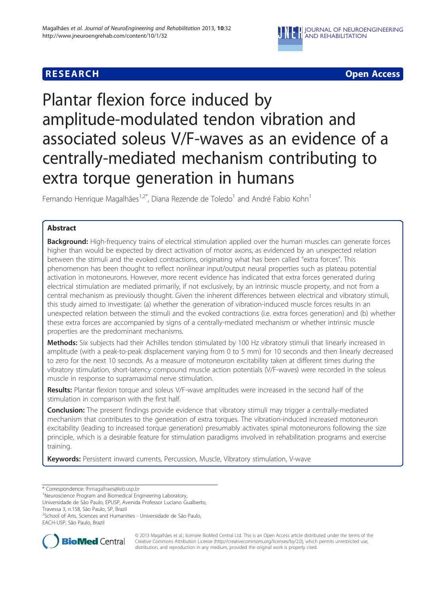

## **RESEARCH CHEAR CHEAR CHEAR CHEAR CHEAR CHEAR CHEAR CHEAR CHEAR CHEAR CHEAR CHEAR CHEAR CHEAR CHEAR CHEAR CHEAR**

# Plantar flexion force induced by amplitude-modulated tendon vibration and associated soleus V/F-waves as an evidence of a centrally-mediated mechanism contributing to extra torque generation in humans

Fernando Henrique Magalhães<sup>1,2\*</sup>, Diana Rezende de Toledo<sup>1</sup> and André Fabio Kohn<sup>1</sup>

### Abstract

Background: High-frequency trains of electrical stimulation applied over the human muscles can generate forces higher than would be expected by direct activation of motor axons, as evidenced by an unexpected relation between the stimuli and the evoked contractions, originating what has been called "extra forces". This phenomenon has been thought to reflect nonlinear input/output neural properties such as plateau potential activation in motoneurons. However, more recent evidence has indicated that extra forces generated during electrical stimulation are mediated primarily, if not exclusively, by an intrinsic muscle property, and not from a central mechanism as previously thought. Given the inherent differences between electrical and vibratory stimuli, this study aimed to investigate: (a) whether the generation of vibration-induced muscle forces results in an unexpected relation between the stimuli and the evoked contractions (i.e. extra forces generation) and (b) whether these extra forces are accompanied by signs of a centrally-mediated mechanism or whether intrinsic muscle properties are the predominant mechanisms.

Methods: Six subjects had their Achilles tendon stimulated by 100 Hz vibratory stimuli that linearly increased in amplitude (with a peak-to-peak displacement varying from 0 to 5 mm) for 10 seconds and then linearly decreased to zero for the next 10 seconds. As a measure of motoneuron excitability taken at different times during the vibratory stimulation, short-latency compound muscle action potentials (V/F-waves) were recorded in the soleus muscle in response to supramaximal nerve stimulation.

Results: Plantar flexion torque and soleus V/F-wave amplitudes were increased in the second half of the stimulation in comparison with the first half.

**Conclusion:** The present findings provide evidence that vibratory stimuli may trigger a centrally-mediated mechanism that contributes to the generation of extra torques. The vibration-induced increased motoneuron excitability (leading to increased torque generation) presumably activates spinal motoneurons following the size principle, which is a desirable feature for stimulation paradigms involved in rehabilitation programs and exercise training.

Keywords: Persistent inward currents, Percussion, Muscle, Vibratory stimulation, V-wave

<sup>1</sup>Neuroscience Program and Biomedical Engineering Laboratory,

Universidade de São Paulo, EPUSP, Avenida Professor Luciano Gualberto,

Travessa 3, n.158, São Paulo, SP, Brazil

<sup>2</sup>School of Arts, Sciences and Humanities - Universidade de São Paulo,

EACH-USP, São Paulo, Brazil



© 2013 Magalhães et al.; licensee BioMed Central Ltd. This is an Open Access article distributed under the terms of the Creative Commons Attribution License (<http://creativecommons.org/licenses/by/2.0>), which permits unrestricted use, distribution, and reproduction in any medium, provided the original work is properly cited.

<sup>\*</sup> Correspondence: [fhmagalhaes@leb.usp.br](mailto:fhmagalhaes@leb.usp.br) <sup>1</sup>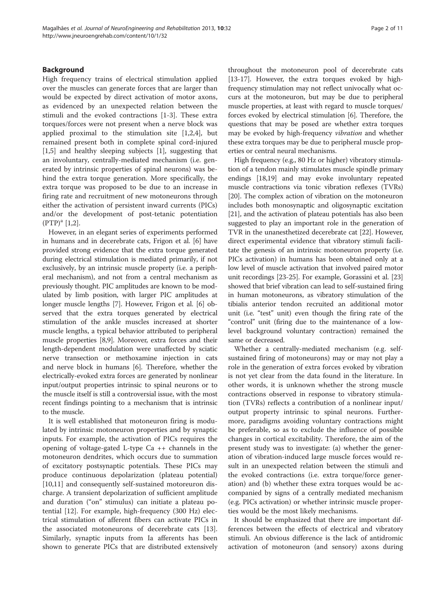#### Background

High frequency trains of electrical stimulation applied over the muscles can generate forces that are larger than would be expected by direct activation of motor axons, as evidenced by an unexpected relation between the stimuli and the evoked contractions [[1-3](#page-9-0)]. These extra torques/forces were not present when a nerve block was applied proximal to the stimulation site [\[1,2,4](#page-9-0)], but remained present both in complete spinal cord-injured [[1,5\]](#page-9-0) and healthy sleeping subjects [\[1](#page-9-0)], suggesting that an involuntary, centrally-mediated mechanism (i.e. generated by intrinsic properties of spinal neurons) was behind the extra torque generation. More specifically, the extra torque was proposed to be due to an increase in firing rate and recruitment of new motoneurons through either the activation of persistent inward currents (PICs) and/or the development of post-tetanic potentiation  $(PTP)^{a}$  [\[1,2](#page-9-0)].

However, in an elegant series of experiments performed in humans and in decerebrate cats, Frigon et al. [[6\]](#page-9-0) have provided strong evidence that the extra torque generated during electrical stimulation is mediated primarily, if not exclusively, by an intrinsic muscle property (i.e. a peripheral mechanism), and not from a central mechanism as previously thought. PIC amplitudes are known to be modulated by limb position, with larger PIC amplitudes at longer muscle lengths [\[7](#page-9-0)]. However, Frigon et al. [\[6](#page-9-0)] observed that the extra torques generated by electrical stimulation of the ankle muscles increased at shorter muscle lengths, a typical behavior attributed to peripheral muscle properties [\[8,9\]](#page-9-0). Moreover, extra forces and their length-dependent modulation were unaffected by sciatic nerve transection or methoxamine injection in cats and nerve block in humans [\[6](#page-9-0)]. Therefore, whether the electrically-evoked extra forces are generated by nonlinear input/output properties intrinsic to spinal neurons or to the muscle itself is still a controversial issue, with the most recent findings pointing to a mechanism that is intrinsic to the muscle.

It is well established that motoneuron firing is modulated by intrinsic motoneuron properties and by synaptic inputs. For example, the activation of PICs requires the opening of voltage-gated L-type Ca ++ channels in the motoneuron dendrites, which occurs due to summation of excitatory postsynaptic potentials. These PICs may produce continuous depolarization (plateau potential) [[10,11\]](#page-9-0) and consequently self-sustained motoreuron discharge. A transient depolarization of sufficient amplitude and duration ("on" stimulus) can initiate a plateau potential [\[12](#page-9-0)]. For example, high-frequency (300 Hz) electrical stimulation of afferent fibers can activate PICs in the associated motoneurons of decerebrate cats [\[13](#page-9-0)]. Similarly, synaptic inputs from Ia afferents has been shown to generate PICs that are distributed extensively throughout the motoneuron pool of decerebrate cats [[13](#page-9-0)-[17\]](#page-9-0). However, the extra torques evoked by highfrequency stimulation may not reflect univocally what occurs at the motoneuron, but may be due to peripheral muscle properties, at least with regard to muscle torques/ forces evoked by electrical stimulation [\[6](#page-9-0)]. Therefore, the questions that may be posed are whether extra torques may be evoked by high-frequency vibration and whether these extra torques may be due to peripheral muscle properties or central neural mechanisms.

High frequency (e.g., 80 Hz or higher) vibratory stimulation of a tendon mainly stimulates muscle spindle primary endings [[18,19\]](#page-9-0) and may evoke involuntary repeated muscle contractions via tonic vibration reflexes (TVRs) [[20](#page-9-0)]. The complex action of vibration on the motoneuron includes both monosynaptic and oligosynaptic excitation [[21](#page-9-0)], and the activation of plateau potentials has also been suggested to play an important role in the generation of TVR in the unanesthetized decerebrate cat [\[22](#page-9-0)]. However, direct experimental evidence that vibratory stimuli facilitate the genesis of an intrinsic motoneuron property (i.e. PICs activation) in humans has been obtained only at a low level of muscle activation that involved paired motor unit recordings [\[23](#page-9-0)-[25](#page-9-0)]. For example, Gorassini et al. [[23](#page-9-0)] showed that brief vibration can lead to self-sustained firing in human motoneurons, as vibratory stimulation of the tibialis anterior tendon recruited an additional motor unit (i.e. "test" unit) even though the firing rate of the "control" unit (firing due to the maintenance of a lowlevel background voluntary contraction) remained the same or decreased.

Whether a centrally-mediated mechanism (e.g. selfsustained firing of motoneurons) may or may not play a role in the generation of extra forces evoked by vibration is not yet clear from the data found in the literature. In other words, it is unknown whether the strong muscle contractions observed in response to vibratory stimulation (TVRs) reflects a contribution of a nonlinear input/ output property intrinsic to spinal neurons. Furthermore, paradigms avoiding voluntary contractions might be preferable, so as to exclude the influence of possible changes in cortical excitability. Therefore, the aim of the present study was to investigate: (a) whether the generation of vibration-induced large muscle forces would result in an unexpected relation between the stimuli and the evoked contractions (i.e. extra torque/force generation) and (b) whether these extra torques would be accompanied by signs of a centrally mediated mechanism (e.g. PICs activation) or whether intrinsic muscle properties would be the most likely mechanisms.

It should be emphasized that there are important differences between the effects of electrical and vibratory stimuli. An obvious difference is the lack of antidromic activation of motoneuron (and sensory) axons during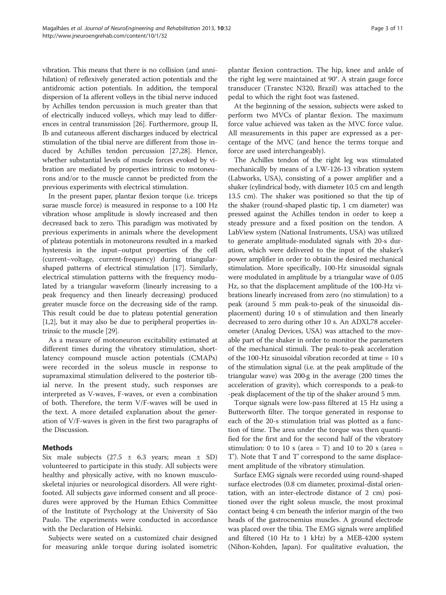vibration. This means that there is no collision (and annihilation) of reflexively generated action potentials and the antidromic action potentials. In addition, the temporal dispersion of Ia afferent volleys in the tibial nerve induced by Achilles tendon percussion is much greater than that of electrically induced volleys, which may lead to differences in central transmission [[26](#page-9-0)]. Furthermore, group II, Ib and cutaneous afferent discharges induced by electrical stimulation of the tibial nerve are different from those induced by Achilles tendon percussion [\[27,28\]](#page-9-0). Hence, whether substantial levels of muscle forces evoked by vibration are mediated by properties intrinsic to motoneurons and/or to the muscle cannot be predicted from the previous experiments with electrical stimulation.

In the present paper, plantar flexion torque (i.e. triceps surae muscle force) is measured in response to a 100 Hz vibration whose amplitude is slowly increased and then decreased back to zero. This paradigm was motivated by previous experiments in animals where the development of plateau potentials in motoneurons resulted in a marked hysteresis in the input–output properties of the cell (current–voltage, current-frequency) during triangularshaped patterns of electrical stimulation [[17](#page-9-0)]. Similarly, electrical stimulation patterns with the frequency modulated by a triangular waveform (linearly increasing to a peak frequency and then linearly decreasing) produced greater muscle force on the decreasing side of the ramp. This result could be due to plateau potential generation [[1,2](#page-9-0)], but it may also be due to peripheral properties intrinsic to the muscle [\[29\]](#page-9-0).

As a measure of motoneuron excitability estimated at different times during the vibratory stimulation, shortlatency compound muscle action potentials (CMAPs) were recorded in the soleus muscle in response to supramaximal stimulation delivered to the posterior tibial nerve. In the present study, such responses are interpreted as V-waves, F-waves, or even a combination of both. Therefore, the term V/F-waves will be used in the text. A more detailed explanation about the generation of V/F-waves is given in the first two paragraphs of the Discussion.

#### Methods

Six male subjects  $(27.5 \pm 6.3 \text{ years}; \text{ mean } \pm \text{ SD})$ volunteered to participate in this study. All subjects were healthy and physically active, with no known musculoskeletal injuries or neurological disorders. All were rightfooted. All subjects gave informed consent and all procedures were approved by the Human Ethics Committee of the Institute of Psychology at the University of São Paulo. The experiments were conducted in accordance with the Declaration of Helsinki.

Subjects were seated on a customized chair designed for measuring ankle torque during isolated isometric plantar flexion contraction. The hip, knee and ankle of the right leg were maintained at 90°. A strain gauge force transducer (Transtec N320, Brazil) was attached to the pedal to which the right foot was fastened.

At the beginning of the session, subjects were asked to perform two MVCs of plantar flexion. The maximum force value achieved was taken as the MVC force value. All measurements in this paper are expressed as a percentage of the MVC (and hence the terms torque and force are used interchangeably).

The Achilles tendon of the right leg was stimulated mechanically by means of a LW-126-13 vibration system (Labworks, USA), consisting of a power amplifier and a shaker (cylindrical body, with diameter 10.5 cm and length 13.5 cm). The shaker was positioned so that the tip of the shaker (round-shaped plastic tip, 1 cm diameter) was pressed against the Achilles tendon in order to keep a steady pressure and a fixed position on the tendon. A LabView system (National Instruments, USA) was utilized to generate amplitude-modulated signals with 20-s duration, which were delivered to the input of the shaker's power amplifier in order to obtain the desired mechanical stimulation. More specifically, 100-Hz sinusoidal signals were modulated in amplitude by a triangular wave of 0.05 Hz, so that the displacement amplitude of the 100-Hz vibrations linearly increased from zero (no stimulation) to a peak (around 5 mm peak-to-peak of the sinusoidal displacement) during 10 s of stimulation and then linearly decreased to zero during other 10 s. An ADXL78 accelerometer (Analog Devices, USA) was attached to the movable part of the shaker in order to monitor the parameters of the mechanical stimuli. The peak-to-peak acceleration of the 100-Hz sinusoidal vibration recorded at time = 10 s of the stimulation signal (i.e. at the peak amplitude of the triangular wave) was 200·g in the average (200 times the acceleration of gravity), which corresponds to a peak-to -peak displacement of the tip of the shaker around 5 mm.

Torque signals were low-pass filtered at 15 Hz using a Butterworth filter. The torque generated in response to each of the 20-s stimulation trial was plotted as a function of time. The area under the torque was then quantified for the first and for the second half of the vibratory stimulation: 0 to 10 s (area = T) and 10 to 20 s (area = T'). Note that T and T' correspond to the same displacement amplitude of the vibratory stimulation.

Surface EMG signals were recorded using round-shaped surface electrodes (0.8 cm diameter, proximal-distal orientation, with an inter-electrode distance of 2 cm) positioned over the right soleus muscle, the most proximal contact being 4 cm beneath the inferior margin of the two heads of the gastrocnemius muscles. A ground electrode was placed over the tibia. The EMG signals were amplified and filtered (10 Hz to 1 kHz) by a MEB-4200 system (Nihon-Kohden, Japan). For qualitative evaluation, the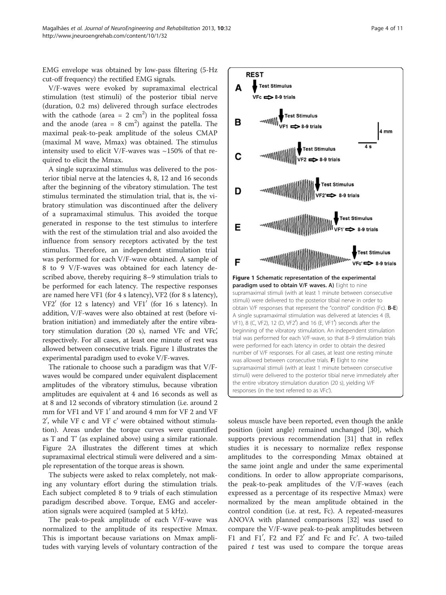EMG envelope was obtained by low-pass filtering (5-Hz cut-off frequency) the rectified EMG signals.

V/F-waves were evoked by supramaximal electrical stimulation (test stimuli) of the posterior tibial nerve (duration, 0.2 ms) delivered through surface electrodes with the cathode (area =  $2 \text{ cm}^2$ ) in the popliteal fossa and the anode (area =  $8 \text{ cm}^2$ ) against the patella. The maximal peak-to-peak amplitude of the soleus CMAP (maximal M wave, Mmax) was obtained. The stimulus intensity used to elicit V/F-waves was  $\sim$ 150% of that required to elicit the Mmax.

A single supraximal stimulus was delivered to the posterior tibial nerve at the latencies 4, 8, 12 and 16 seconds after the beginning of the vibratory stimulation. The test stimulus terminated the stimulation trial, that is, the vibratory stimulation was discontinued after the delivery of a supramaximal stimulus. This avoided the torque generated in response to the test stimulus to interfere with the rest of the stimulation trial and also avoided the influence from sensory receptors activated by the test stimulus. Therefore, an independent stimulation trial was performed for each V/F-wave obtained. A sample of 8 to 9 V/F-waves was obtained for each latency described above, thereby requiring 8–9 stimulation trials to be performed for each latency. The respective responses are named here VF1 (for 4 s latency), VF2 (for 8 s latency),  $VF2'$  (for 12 s latency) and  $VF1'$  (for 16 s latency). In addition, V/F-waves were also obtained at rest (before vibration initiation) and immediately after the entire vibratory stimulation duration (20 s), named VFc and VFc', respectively. For all cases, at least one minute of rest was allowed between consecutive trials. Figure 1 illustrates the experimental paradigm used to evoke V/F-waves.

The rationale to choose such a paradigm was that V/Fwaves would be compared under equivalent displacement amplitudes of the vibratory stimulus, because vibration amplitudes are equivalent at 4 and 16 seconds as well as at 8 and 12 seconds of vibratory stimulation (i.e. around 2 mm for VF1 and VF  $1'$  and around  $4$  mm for VF  $2$  and VF  $\,$ 2', while VF c and VF c' were obtained without stimulation). Areas under the torque curves were quantified as T and T' (as explained above) using a similar rationale. Figure [2](#page-4-0)A illustrates the different times at which supramaximal electrical stimuli were delivered and a simple representation of the torque areas is shown.

The subjects were asked to relax completely, not making any voluntary effort during the stimulation trials. Each subject completed 8 to 9 trials of each stimulation paradigm described above. Torque, EMG and acceleration signals were acquired (sampled at 5 kHz).

The peak-to-peak amplitude of each V/F-wave was normalized to the amplitude of its respective Mmax. This is important because variations on Mmax amplitudes with varying levels of voluntary contraction of the



soleus muscle have been reported, even though the ankle position (joint angle) remained unchanged [\[30\]](#page-9-0), which supports previous recommendation [\[31](#page-9-0)] that in reflex studies it is necessary to normalize reflex response amplitudes to the corresponding Mmax obtained at the same joint angle and under the same experimental conditions. In order to allow appropriate comparisons, the peak-to-peak amplitudes of the V/F-waves (each expressed as a percentage of its respective Mmax) were normalized by the mean amplitude obtained in the control condition (i.e. at rest, Fc). A repeated-measures ANOVA with planned comparisons [\[32\]](#page-10-0) was used to compare the V/F-wave peak-to-peak amplitudes between F1 and F1', F2 and F2' and Fc and Fc'. A two-tailed paired  $t$  test was used to compare the torque areas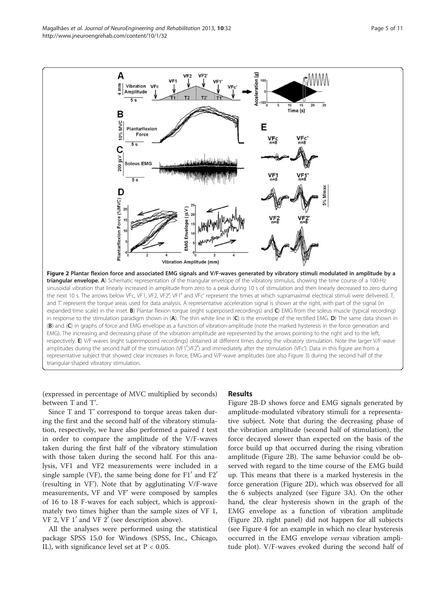<span id="page-4-0"></span>Magalhães et al. Journal of NeuroEngineering and Rehabilitation 2013, 10:32 Page 5 of 11 http://www.jneuroengrehab.com/content/10/1/32



(expressed in percentage of MVC multiplied by seconds) between T and T'.

#### Results

Since T and T' correspond to torque areas taken during the first and the second half of the vibratory stimulation, respectively, we have also performed a paired  $t$  test in order to compare the amplitude of the V/F-waves taken during the first half of the vibratory stimulation with those taken during the second half. For this analysis, VF1 and VF2 measurements were included in a single sample (VF), the same being done for  $F1'$  and  $F2'$ (resulting in VF'). Note that by agglutinating V/F-wave measurements, VF and VF' were composed by samples of 16 to 18 F-waves for each subject, which is approximately two times higher than the sample sizes of VF 1,  $VF 2, VF 1'$  and  $VF 2'$  (see description above).

All the analyses were performed using the statistical package SPSS 15.0 for Windows (SPSS, Inc., Chicago, IL), with significance level set at  $P < 0.05$ .

Figure 2B-D shows force and EMG signals generated by amplitude-modulated vibratory stimuli for a representative subject. Note that during the decreasing phase of the vibration amplitude (second half of stimulation), the force decayed slower than expected on the basis of the force build up that occurred during the rising vibration amplitude (Figure 2B). The same behavior could be observed with regard to the time course of the EMG build up. This means that there is a marked hysteresis in the force generation (Figure 2D), which was observed for all the 6 subjects analyzed (see Figure [3A](#page-5-0)). On the other hand, the clear hysteresis shown in the graph of the EMG envelope as a function of vibration amplitude (Figure 2D, right panel) did not happen for all subjects (see Figure [4](#page-6-0) for an example in which no clear hysteresis occurred in the EMG envelope versus vibration amplitude plot). V/F-waves evoked during the second half of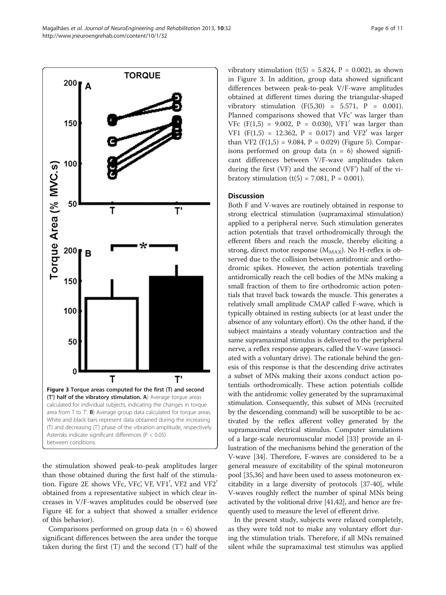<span id="page-5-0"></span>Magalhães et al. Journal of NeuroEngineering and Rehabilitation 2013, 10:32 http://www.jneuroengrehab.com/content/10/1/32



the stimulation showed peak-to-peak amplitudes larger than those obtained during the first half of the stimula-tion. Figure [2E](#page-4-0) shows VFc, VFc', VF, VF1′, VF2 and VF2′ obtained from a representative subject in which clear increases in V/F-waves amplitudes could be observed (see Figure [4](#page-6-0)E for a subject that showed a smaller evidence of this behavior).

Comparisons performed on group data  $(n = 6)$  showed significant differences between the area under the torque taken during the first (T) and the second (T') half of the vibratory stimulation (t(5) = 5.824,  $P = 0.002$ ), as shown in Figure 3. In addition, group data showed significant differences between peak-to-peak V/F-wave amplitudes obtained at different times during the triangular-shaped vibratory stimulation  $(F(5,30) = 5.571, P = 0.001)$ . Planned comparisons showed that VFc' was larger than VFc  $(F(1,5) = 9.002, P = 0.030)$ , VF1' was larger than VF1  $(F(1,5) = 12.362, P = 0.017)$  and VF2' was larger than VF2 ( $F(1,5) = 9.084$ ,  $P = 0.029$ ) (Figure [5\)](#page-7-0). Comparisons performed on group data  $(n = 6)$  showed significant differences between V/F-wave amplitudes taken during the first (VF) and the second (VF') half of the vibratory stimulation  $(t(5) = 7.081, P = 0.001)$ .

#### **Discussion**

Both F and V-waves are routinely obtained in response to strong electrical stimulation (supramaximal stimulation) applied to a peripheral nerve. Such stimulation generates action potentials that travel orthodromically through the efferent fibers and reach the muscle, thereby eliciting a strong, direct motor response  $(M_{MAX})$ . No H-reflex is observed due to the collision between antidromic and orthodromic spikes. However, the action potentials traveling antidromically reach the cell bodies of the MNs making a small fraction of them to fire orthodromic action potentials that travel back towards the muscle. This generates a relatively small amplitude CMAP called F-wave, which is typically obtained in resting subjects (or at least under the absence of any voluntary effort). On the other hand, if the subject maintains a steady voluntary contraction and the same supramaximal stimulus is delivered to the peripheral nerve, a reflex response appears, called the V-wave (associated with a voluntary drive). The rationale behind the genesis of this response is that the descending drive activates a subset of MNs making their axons conduct action potentials orthodromically. These action potentials collide with the antidromic volley generated by the supramaximal stimulation. Consequently, this subset of MNs (recruited by the descending command) will be susceptible to be activated by the reflex afferent volley generated by the supramaximal electrical stimulus. Computer simulations of a large-scale neuromuscular model [\[33\]](#page-10-0) provide an illustration of the mechanisms behind the generation of the V-wave [[34](#page-10-0)]. Therefore, F-waves are considered to be a general measure of excitability of the spinal motoneuron pool [\[35,36](#page-10-0)] and have been used to assess motoneuron excitability in a large diversity of protocols [[37](#page-10-0)-[40](#page-10-0)], while V-waves roughly reflect the number of spinal MNs being activated by the volitional drive [\[41,42\]](#page-10-0), and hence are frequently used to measure the level of efferent drive.

In the present study, subjects were relaxed completely, as they were told not to make any voluntary effort during the stimulation trials. Therefore, if all MNs remained silent while the supramaximal test stimulus was applied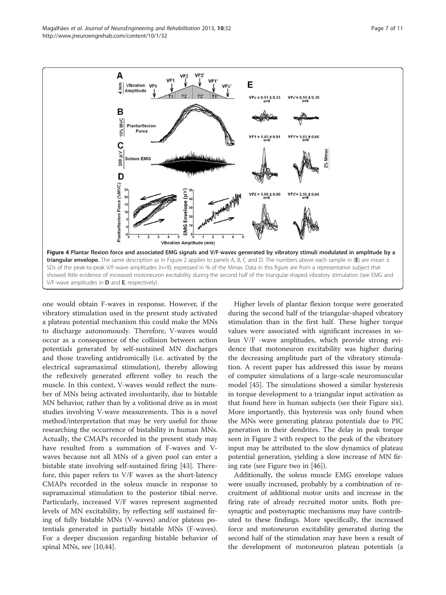<span id="page-6-0"></span>Magalhães et al. Journal of NeuroEngineering and Rehabilitation 2013, 10:32 Page 7 of 11 http://www.jneuroengrehab.com/content/10/1/32



one would obtain F-waves in response. However, if the vibratory stimulation used in the present study activated a plateau potential mechanism this could make the MNs to discharge autonomously. Therefore, V-waves would occur as a consequence of the collision between action potentials generated by self-sustained MN discharges and those traveling antidromically (i.e. activated by the electrical supramaximal stimulation), thereby allowing the reflexively generated efferent volley to reach the muscle. In this context, V-waves would reflect the number of MNs being activated involuntarily, due to bistable MN behavior, rather than by a volitional drive as in most studies involving V-wave measurements. This is a novel method/interpretation that may be very useful for those researching the occurrence of bistability in human MNs. Actually, the CMAPs recorded in the present study may have resulted from a summation of F-waves and Vwaves because not all MNs of a given pool can enter a bistable state involving self-sustained firing [[43\]](#page-10-0). Therefore, this paper refers to V/F waves as the short-latency CMAPs recorded in the soleus muscle in response to supramaximal stimulation to the posterior tibial nerve. Particularly, increased V/F waves represent augmented levels of MN excitability, by reflecting self sustained firing of fully bistable MNs (V-waves) and/or plateau potentials generated in partially bistable MNs (F-waves). For a deeper discussion regarding bistable behavior of spinal MNs, see [[10,](#page-9-0)[44\]](#page-10-0).

Higher levels of plantar flexion torque were generated during the second half of the triangular-shaped vibratory stimulation than in the first half. These higher torque values were associated with significant increases in soleus V/F -wave amplitudes, which provide strong evidence that motoneuron excitability was higher during the decreasing amplitude part of the vibratory stimulation. A recent paper has addressed this issue by means of computer simulations of a large-scale neuromuscular model [[45\]](#page-10-0). The simulations showed a similar hysteresis in torque development to a triangular input activation as that found here in human subjects (see their Figure six). More importantly, this hysteresis was only found when the MNs were generating plateau potentials due to PIC generation in their dendrites. The delay in peak torque seen in Figure [2](#page-4-0) with respect to the peak of the vibratory input may be attributed to the slow dynamics of plateau potential generation, yielding a slow increase of MN firing rate (see Figure two in [[46](#page-10-0)]).

Additionally, the soleus muscle EMG envelope values were usually increased, probably by a combination of recruitment of additional motor units and increase in the firing rate of already recruited motor units. Both presynaptic and postsynaptic mechanisms may have contributed to these findings. More specifically, the increased force and motoneuron excitability generated during the second half of the stimulation may have been a result of the development of motoneuron plateau potentials (a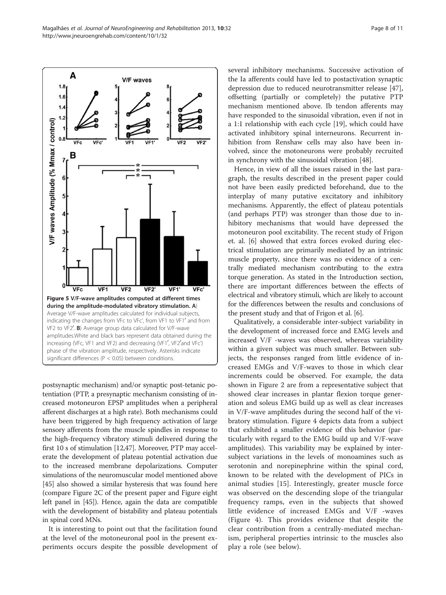postsynaptic mechanism) and/or synaptic post-tetanic potentiation (PTP, a presynaptic mechanism consisting of increased motoneuron EPSP amplitudes when a peripheral afferent discharges at a high rate). Both mechanisms could have been triggered by high frequency activation of large sensory afferents from the muscle spindles in response to the high-frequency vibratory stimuli delivered during the first 10 s of stimulation [\[12,](#page-9-0)[47\]](#page-10-0). Moreover, PTP may accelerate the development of plateau potential activation due to the increased membrane depolarizations. Computer simulations of the neuromuscular model mentioned above [[45](#page-10-0)] also showed a similar hysteresis that was found here (compare Figure [2C](#page-4-0) of the present paper and Figure eight left panel in [[45](#page-10-0)]). Hence, again the data are compatible with the development of bistability and plateau potentials

It is interesting to point out that the facilitation found at the level of the motoneuronal pool in the present experiments occurs despite the possible development of

in spinal cord MNs.

several inhibitory mechanisms. Successive activation of the Ia afferents could have led to postactivation synaptic depression due to reduced neurotransmitter release [\[47](#page-10-0)], offsetting (partially or completely) the putative PTP mechanism mentioned above. Ib tendon afferents may have responded to the sinusoidal vibration, even if not in a 1:1 relationship with each cycle [\[19](#page-9-0)], which could have activated inhibitory spinal interneurons. Recurrent inhibition from Renshaw cells may also have been involved, since the motoneurons were probably recruited in synchrony with the sinusoidal vibration [\[48](#page-10-0)].

Hence, in view of all the issues raised in the last paragraph, the results described in the present paper could not have been easily predicted beforehand, due to the interplay of many putative excitatory and inhibitory mechanisms. Apparently, the effect of plateau potentials (and perhaps PTP) was stronger than those due to inhibitory mechanisms that would have depressed the motoneuron pool excitability. The recent study of Frigon et. al. [\[6\]](#page-9-0) showed that extra forces evoked during electrical stimulation are primarily mediated by an intrinsic muscle property, since there was no evidence of a centrally mediated mechanism contributing to the extra torque generation. As stated in the Introduction section, there are important differences between the effects of electrical and vibratory stimuli, which are likely to account for the differences between the results and conclusions of the present study and that of Frigon et al. [[6\]](#page-9-0).

Qualitatively, a considerable inter-subject variability in the development of increased force and EMG levels and increased V/F -waves was observed, whereas variability within a given subject was much smaller. Between subjects, the responses ranged from little evidence of increased EMGs and V/F-waves to those in which clear increments could be observed. For example, the data shown in Figure [2](#page-4-0) are from a representative subject that showed clear increases in plantar flexion torque generation and soleus EMG build up as well as clear increases in V/F-wave amplitudes during the second half of the vibratory stimulation. Figure [4](#page-6-0) depicts data from a subject that exhibited a smaller evidence of this behavior (particularly with regard to the EMG build up and V/F-wave amplitudes). This variability may be explained by intersubject variations in the levels of monoamines such as serotonin and norepinephrine within the spinal cord, known to be related with the development of PICs in animal studies [\[15](#page-9-0)]. Interestingly, greater muscle force was observed on the descending slope of the triangular frequency ramps, even in the subjects that showed little evidence of increased EMGs and V/F -waves (Figure [4\)](#page-6-0). This provides evidence that despite the clear contribution from a centrally-mediated mechanism, peripheral properties intrinsic to the muscles also play a role (see below).

<span id="page-7-0"></span>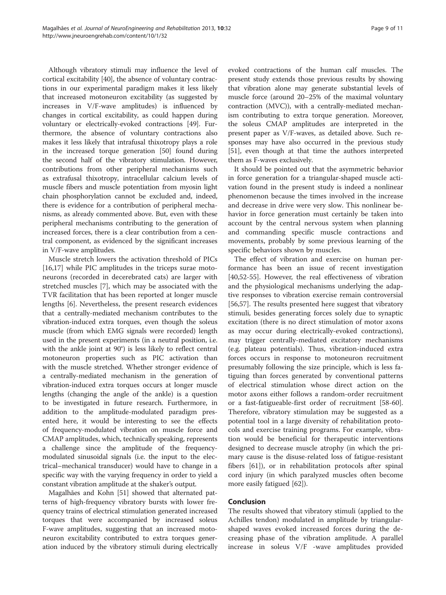Although vibratory stimuli may influence the level of cortical excitability [\[40\]](#page-10-0), the absence of voluntary contractions in our experimental paradigm makes it less likely that increased motoneuron excitability (as suggested by increases in V/F-wave amplitudes) is influenced by changes in cortical excitability, as could happen during voluntary or electrically-evoked contractions [[49](#page-10-0)]. Furthermore, the absence of voluntary contractions also makes it less likely that intrafusal thixotropy plays a role in the increased torque generation [\[50\]](#page-10-0) found during the second half of the vibratory stimulation. However, contributions from other peripheral mechanisms such as extrafusal thixotropy, intracellular calcium levels of muscle fibers and muscle potentiation from myosin light chain phosphorylation cannot be excluded and, indeed, there is evidence for a contribution of peripheral mechanisms, as already commented above. But, even with these peripheral mechanisms contributing to the generation of increased forces, there is a clear contribution from a central component, as evidenced by the significant increases in V/F-wave amplitudes.

Muscle stretch lowers the activation threshold of PICs [[16,17\]](#page-9-0) while PIC amplitudes in the triceps surae motoneurons (recorded in decerebrated cats) are larger with stretched muscles [[7\]](#page-9-0), which may be associated with the TVR facilitation that has been reported at longer muscle lengths [[6\]](#page-9-0). Nevertheless, the present research evidences that a centrally-mediated mechanism contributes to the vibration-induced extra torques, even though the soleus muscle (from which EMG signals were recorded) length used in the present experiments (in a neutral position, i.e. with the ankle joint at 90°) is less likely to reflect central motoneuron properties such as PIC activation than with the muscle stretched. Whether stronger evidence of a centrally-mediated mechanism in the generation of vibration-induced extra torques occurs at longer muscle lengths (changing the angle of the ankle) is a question to be investigated in future research. Furthermore, in addition to the amplitude-modulated paradigm presented here, it would be interesting to see the effects of frequency-modulated vibration on muscle force and CMAP amplitudes, which, technically speaking, represents a challenge since the amplitude of the frequencymodulated sinusoidal signals (i.e. the input to the electrical–mechanical transducer) would have to change in a specific way with the varying frequency in order to yield a constant vibration amplitude at the shaker's output.

Magalhães and Kohn [\[51](#page-10-0)] showed that alternated patterns of high-frequency vibratory bursts with lower frequency trains of electrical stimulation generated increased torques that were accompanied by increased soleus F-wave amplitudes, suggesting that an increased motoneuron excitability contributed to extra torques generation induced by the vibratory stimuli during electrically

evoked contractions of the human calf muscles. The present study extends those previous results by showing that vibration alone may generate substantial levels of muscle force (around 20–25% of the maximal voluntary contraction (MVC)), with a centrally-mediated mechanism contributing to extra torque generation. Moreover, the soleus CMAP amplitudes are interpreted in the present paper as V/F-waves, as detailed above. Such responses may have also occurred in the previous study [[51](#page-10-0)], even though at that time the authors interpreted them as F-waves exclusively.

It should be pointed out that the asymmetric behavior in force generation for a triangular-shaped muscle activation found in the present study is indeed a nonlinear phenomenon because the times involved in the increase and decrease in drive were very slow. This nonlinear behavior in force generation must certainly be taken into account by the central nervous system when planning and commanding specific muscle contractions and movements, probably by some previous learning of the specific behaviors shown by muscles.

The effect of vibration and exercise on human performance has been an issue of recent investigation [[40,52-55\]](#page-10-0). However, the real effectiveness of vibration and the physiological mechanisms underlying the adaptive responses to vibration exercise remain controversial [[56,57\]](#page-10-0). The results presented here suggest that vibratory stimuli, besides generating forces solely due to synaptic excitation (there is no direct stimulation of motor axons as may occur during electrically-evoked contractions), may trigger centrally-mediated excitatory mechanisms (e.g. plateau potentials). Thus, vibration-induced extra forces occurs in response to motoneuron recruitment presumably following the size principle, which is less fatiguing than forces generated by conventional patterns of electrical stimulation whose direct action on the motor axons either follows a random-order recruitment or a fast-fatigueable-first order of recruitment [\[58-60](#page-10-0)]. Therefore, vibratory stimulation may be suggested as a potential tool in a large diversity of rehabilitation protocols and exercise training programs. For example, vibration would be beneficial for therapeutic interventions designed to decrease muscle atrophy (in which the primary cause is the disuse-related loss of fatigue-resistant fibers [[61\]](#page-10-0)), or in rehabilitation protocols after spinal cord injury (in which paralyzed muscles often become more easily fatigued [[62\]](#page-10-0)).

#### Conclusion

The results showed that vibratory stimuli (applied to the Achilles tendon) modulated in amplitude by triangularshaped waves evoked increased forces during the decreasing phase of the vibration amplitude. A parallel increase in soleus V/F -wave amplitudes provided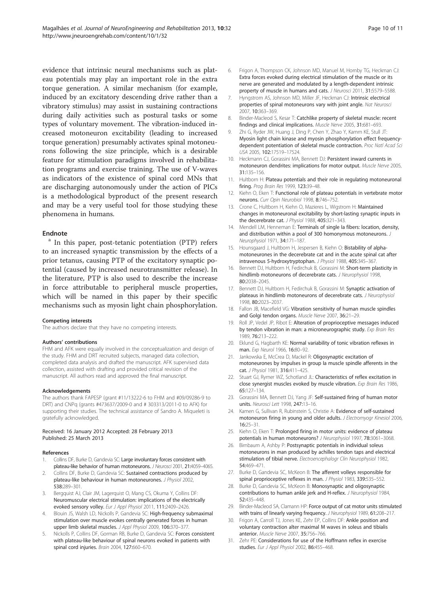<span id="page-9-0"></span>evidence that intrinsic neural mechanisms such as plateau potentials may play an important role in the extra torque generation. A similar mechanism (for example, induced by an excitatory descending drive rather than a vibratory stimulus) may assist in sustaining contractions during daily activities such as postural tasks or some types of voluntary movement. The vibration-induced increased motoneuron excitability (leading to increased torque generation) presumably activates spinal motoneurons following the size principle, which is a desirable feature for stimulation paradigms involved in rehabilitation programs and exercise training. The use of V-waves as indicators of the existence of spinal cord MNs that are discharging autonomously under the action of PICs is a methodological byproduct of the present research and may be a very useful tool for those studying these phenomena in humans.

#### Endnote

<sup>a</sup> In this paper, post-tetanic potentiation (PTP) refers to an increased synaptic transmission by the effects of a prior tetanus, causing PTP of the excitatory synaptic potential (caused by increased neurotransmitter release). In the literature, PTP is also used to describe the increase in force attributable to peripheral muscle properties, which will be named in this paper by their specific mechanisms such as myosin light chain phosphorylation.

#### Competing interests

The authors declare that they have no competing interests.

#### Authors' contributions

FHM and AFK were equally involved in the conceptualization and design of the study. FHM and DRT recruited subjects, managed data collection, completed data analysis and drafted the manuscript. AFK supervised data collection, assisted with drafting and provided critical revision of the manuscript. All authors read and approved the final manuscript.

#### Acknowledgements

The authors thank FAPESP (grant #11/13222-6 to FHM and #09/09286-9 to DRT) and CNPq (grants #473637/2009-0 and # 303313/2011-0 to AFK) for supporting their studies. The technical assistance of Sandro A. Miqueleti is gratefully acknowledged.

#### Received: 16 January 2012 Accepted: 28 February 2013 Published: 25 March 2013

#### References

- 1. Collins DF, Burke D, Gandevia SC: Large involuntary forces consistent with plateau-like behavior of human motoneurons. J Neurosci 2001, 21:4059–4065.
- 2. Collins DF, Burke D, Gandevia SC: Sustained contractions produced by plateau-like behaviour in human motoneurones. J Physiol 2002, 538:289–301.
- 3. Bergquist AJ, Clair JM, Lagerquist O, Mang CS, Okuma Y, Collins DF: Neuromuscular electrical stimulation: implications of the electrically evoked sensory volley. Eur J Appl Physiol 2011, 111:2409–2426.
- Blouin JS, Walsh LD, Nickolls P, Gandevia SC: High-frequency submaximal stimulation over muscle evokes centrally generated forces in human upper limb skeletal muscles. J Appl Physiol 2009, 106:370–377.
- Nickolls P, Collins DF, Gorman RB, Burke D, Gandevia SC: Forces consistent with plateau-like behaviour of spinal neurons evoked in patients with spinal cord injuries. Brain 2004, 127:660–670.
- 6. Frigon A, Thompson CK, Johnson MD, Manuel M, Hornby TG, Heckman CJ: Extra forces evoked during electrical stimulation of the muscle or its nerve are generated and modulated by a length-dependent intrinsic property of muscle in humans and cats. J Neurosci 2011, 31:5579-5588.
- 7. Hyngstrom AS, Johnson MD, Miller JF, Heckman CJ: Intrinsic electrical properties of spinal motoneurons vary with joint angle. Nat Neurosci 2007, 10:363–369.
- 8. Binder-Macleod S, Kesar T: Catchlike property of skeletal muscle: recent findings and clinical implications. Muscle Nerve 2005, 31:681–693.
- 9. Zhi G, Ryder JW, Huang J, Ding P, Chen Y, Zhao Y, Kamm KE, Stull JT: Myosin light chain kinase and myosin phosphorylation effect frequencydependent potentiation of skeletal muscle contraction. Proc Natl Acad Sci USA 2005, 102:17519–17524.
- 10. Heckmann CJ, Gorassini MA, Bennett DJ: Persistent inward currents in motoneuron dendrites: implications for motor output. Muscle Nerve 2005. 31:135–156.
- 11. Hultborn H: Plateau potentials and their role in regulating motoneuronal firing. Prog Brain Res 1999, 123:39–48.
- 12. Kiehn O, Eken T: Functional role of plateau potentials in vertebrate motor neurons. Curr Opin Neurobiol 1998, 8:746–752.
- 13. Crone C, Hultborn H, Kiehn O, Mazieres L, Wigstrom H: Maintained changes in motoneuronal excitability by short-lasting synaptic inputs in the decerebrate cat. J Physiol 1988, 405:321–343.
- 14. Mendell LM, Henneman E: Terminals of single Ia fibers: location, density, and distribution within a pool of 300 homonymous motoneurons. J Neurophysiol 1971, 34:171–187.
- 15. Hounsgaard J, Hultborn H, Jespersen B, Kiehn O: Bistability of alphamotoneurones in the decerebrate cat and in the acute spinal cat after intravenous 5-hydroxytryptophan. J Physiol 1988, 405:345-367
- 16. Bennett DJ, Hultborn H, Fedirchuk B, Gorassini M: Short-term plasticity in hindlimb motoneurons of decerebrate cats. J Neurophysiol 1998, 80:2038–2045.
- 17. Bennett DJ, Hultborn H, Fedirchuk B, Gorassini M: Synaptic activation of plateaus in hindlimb motoneurons of decerebrate cats. J Neurophysiol 1998, 80:2023–2037.
- 18. Fallon JB, Macefield VG: Vibration sensitivity of human muscle spindles and Golgi tendon organs. Muscle Nerve 2007, 36:21–29.
- 19. Roll JP, Vedel JP, Ribot E: Alteration of proprioceptive messages induced by tendon vibration in man: a microneurographic study. Exp Brain Res 1989, 76:213–222.
- 20. Eklund G, Hagbarth KE: Normal variability of tonic vibration reflexes in man. Exp Neurol 1966, 16:80-92.
- 21. Jankowska E, McCrea D, Mackel R: Oligosynaptic excitation of motoneurones by impulses in group Ia muscle spindle afferents in the cat. J Physiol 1981, 316:411-425.
- 22. Stuart GJ, Rymer WZ, Schotland JL: Characteristics of reflex excitation in close synergist muscles evoked by muscle vibration. Exp Brain Res 1986, 65:127–134.
- 23. Gorassini MA, Bennett DJ, Yang JF: Self-sustained firing of human motor units. Neurosci Lett 1998, 247:13–16.
- 24. Kamen G, Sullivan R, Rubinstein S, Christie A: Evidence of self-sustained motoneuron firing in young and older adults. J Electromyogr Kinesiol 2006,  $16:25-31$
- 25. Kiehn O, Eken T: Prolonged firing in motor units: evidence of plateau potentials in human motoneurons? J Neurophysiol 1997, 78:3061–3068.
- 26. Birnbaum A, Ashby P: Postsynaptic potentials in individual soleus motoneurons in man produced by achilles tendon taps and electrical stimulation of tibial nerve. Electroencephalogr Clin Neurophysiol 1982, 54:469–471.
- 27. Burke D, Gandevia SC, McKeon B: The afferent volleys responsible for spinal proprioceptive reflexes in man. J Physiol 1983, 339:535-552.
- 28. Burke D, Gandevia SC, McKeon B: Monosynaptic and oligosynaptic contributions to human ankle jerk and H-reflex. J Neurophysiol 1984, 52:435–448.
- 29. Binder-Macleod SA, Clamann HP: Force output of cat motor units stimulated with trains of linearly varying frequency. J Neurophysiol 1989, 61:208-217.
- 30. Frigon A, Carroll TJ, Jones KE, Zehr EP, Collins DF: Ankle position and voluntary contraction alter maximal M waves in soleus and tibialis anterior. Muscle Nerve 2007, 35:756–766.
- 31. Zehr PE: Considerations for use of the Hoffmann reflex in exercise studies. Eur J Appl Physiol 2002, 86:455-468.